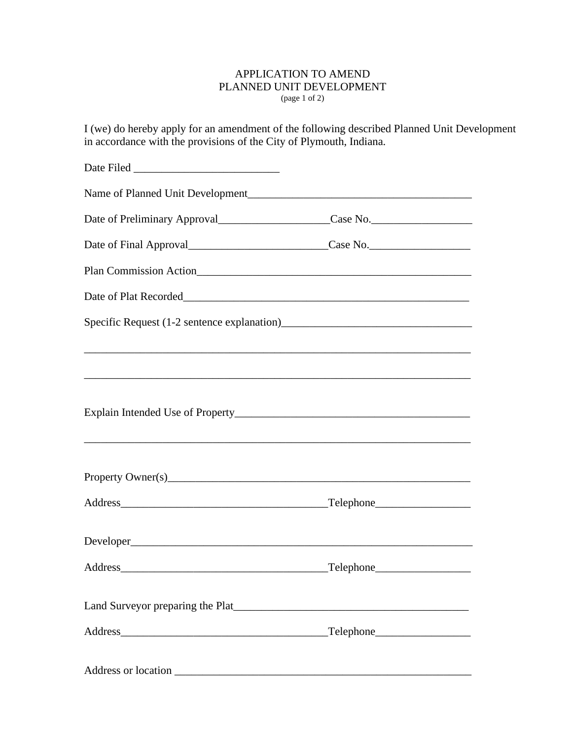## APPLICATION TO AMEND PLANNED UNIT DEVELOPMENT (page 1 of 2)

I (we) do hereby apply for an amendment of the following described Planned Unit Development in accordance with the provisions of the City of Plymouth, Indiana.

| Date of Preliminary Approval__________________________Case No.___________________       |  |
|-----------------------------------------------------------------------------------------|--|
| Date of Final Approval_______________________________Case No.____________________       |  |
|                                                                                         |  |
|                                                                                         |  |
|                                                                                         |  |
| <b>,这些人的人都是不能</b> 的。""我们的人,我们的人都是不能的人,我们的人都是不能的人,我们的人都是不能的人,我们的人都是不能的人,我们的人都是不能的人,我们也不能 |  |
|                                                                                         |  |
|                                                                                         |  |
|                                                                                         |  |
|                                                                                         |  |
|                                                                                         |  |
|                                                                                         |  |
|                                                                                         |  |
|                                                                                         |  |